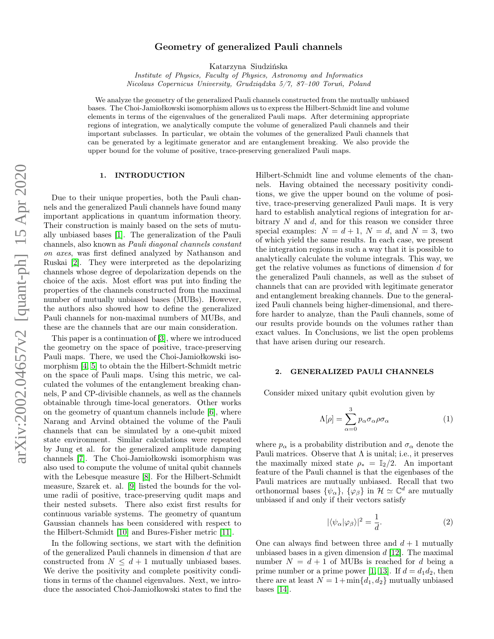# arXiv:2002.04657v2 [quant-ph] 15 Apr 2020 arXiv:2002.04657v2 [quant-ph] 15 Apr 2020

# Geometry of generalized Pauli channels

Katarzyna Siudzińska

Institute of Physics, Faculty of Physics, Astronomy and Informatics Nicolaus Copernicus University, Grudziądzka 5/7, 87–100 Toruń, Poland

We analyze the geometry of the generalized Pauli channels constructed from the mutually unbiased bases. The Choi-Jamiołkowski isomorphism allows us to express the Hilbert-Schmidt line and volume elements in terms of the eigenvalues of the generalized Pauli maps. After determining appropriate regions of integration, we analytically compute the volume of generalized Pauli channels and their important subclasses. In particular, we obtain the volumes of the generalized Pauli channels that can be generated by a legitimate generator and are entanglement breaking. We also provide the upper bound for the volume of positive, trace-preserving generalized Pauli maps.

# 1. INTRODUCTION

Due to their unique properties, both the Pauli channels and the generalized Pauli channels have found many important applications in quantum information theory. Their construction is mainly based on the sets of mutually unbiased bases [\[1\]](#page-4-0). The generalization of the Pauli channels, also known as Pauli diagonal channels constant on axes, was first defined analyzed by Nathanson and Ruskai [\[2\]](#page-4-1). They were interpreted as the depolarizing channels whose degree of depolarization depends on the choice of the axis. Most effort was put into finding the properties of the channels constructed from the maximal number of mutually unbiased bases (MUBs). However, the authors also showed how to define the generalized Pauli channels for non-maximal numbers of MUBs, and these are the channels that are our main consideration.

This paper is a continuation of [\[3\]](#page-4-2), where we introduced the geometry on the space of positive, trace-preserving Pauli maps. There, we used the Choi-Jamiołkowski isomorphism [\[4,](#page-4-3) [5\]](#page-4-4) to obtain the the Hilbert-Schmidt metric on the space of Pauli maps. Using this metric, we calculated the volumes of the entanglement breaking channels, P and CP-divisible channels, as well as the channels obtainable through time-local generators. Other works on the geometry of quantum channels include [\[6\]](#page-4-5), where Narang and Arvind obtained the volume of the Pauli channels that can be simulated by a one-qubit mixed state environment. Similar calculations were repeated by Jung et al. for the generalized amplitude damping channels [\[7\]](#page-4-6). The Choi-Jamiołkowski isomorphism was also used to compute the volume of unital qubit channels with the Lebesque measure [\[8\]](#page-4-7). For the Hilbert-Schmidt measure, Szarek et. al. [\[9\]](#page-4-8) listed the bounds for the volume radii of positive, trace-preserving qudit maps and their nested subsets. There also exist first results for continuous variable systems. The geometry of quantum Gaussian channels has been considered with respect to the Hilbert-Schmidt [\[10\]](#page-5-0) and Bures-Fisher metric [\[11\]](#page-5-1).

In the following sections, we start with the definition of the generalized Pauli channels in dimension d that are constructed from  $N \leq d+1$  mutually unbiased bases. We derive the positivity and complete positivity conditions in terms of the channel eigenvalues. Next, we introduce the associated Choi-Jamiołkowski states to find the Hilbert-Schmidt line and volume elements of the channels. Having obtained the necessary positivity conditions, we give the upper bound on the volume of positive, trace-preserving generalized Pauli maps. It is very hard to establish analytical regions of integration for arbitrary  $N$  and  $d$ , and for this reason we consider three special examples:  $N = d + 1$ ,  $N = d$ , and  $N = 3$ , two of which yield the same results. In each case, we present the integration regions in such a way that it is possible to analytically calculate the volume integrals. This way, we get the relative volumes as functions of dimension d for the generalized Pauli channels, as well as the subset of channels that can are provided with legitimate generator and entanglement breaking channels. Due to the generalized Pauli channels being higher-dimensional, and therefore harder to analyze, than the Pauli channels, some of our results provide bounds on the volumes rather than exact values. In Conclusions, we list the open problems that have arisen during our research.

# 2. GENERALIZED PAULI CHANNELS

Consider mixed unitary qubit evolution given by

$$
\Lambda[\rho] = \sum_{\alpha=0}^{3} p_{\alpha} \sigma_{\alpha} \rho \sigma_{\alpha} \tag{1}
$$

where  $p_{\alpha}$  is a probability distribution and  $\sigma_{\alpha}$  denote the Pauli matrices. Observe that  $\Lambda$  is unital; i.e., it preserves the maximally mixed state  $\rho_* = \mathbb{I}_2/2$ . An important feature of the Pauli channel is that the eigenbases of the Pauli matrices are mutually unbiased. Recall that two orthonormal bases  $\{\psi_{\alpha}\}, \{\varphi_{\beta}\}\$ in  $\mathcal{H} \simeq \mathbb{C}^d$  are mutually unbiased if and only if their vectors satisfy

$$
|\langle \psi_\alpha | \varphi_\beta \rangle|^2 = \frac{1}{d}.\tag{2}
$$

One can always find between three and  $d+1$  mutually unbiased bases in a given dimension  $d$  [\[12\]](#page-5-2). The maximal number  $N = d + 1$  of MUBs is reached for d being a prime number or a prime power [\[1,](#page-4-0) [13\]](#page-5-3). If  $d = d_1 d_2$ , then there are at least  $N = 1 + min{d_1, d_2}$  mutually unbiased bases [\[14\]](#page-5-4).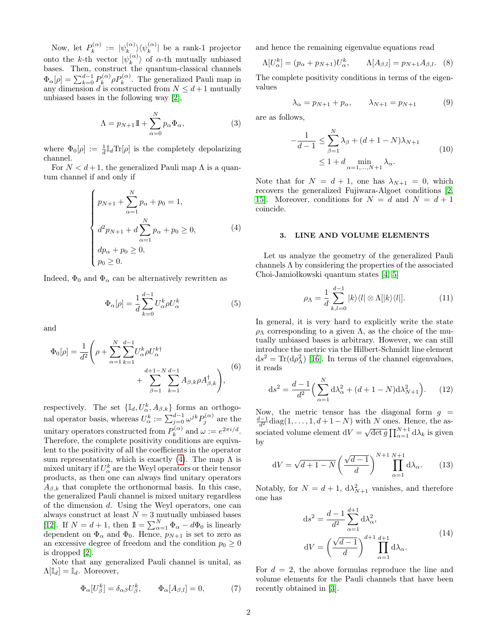Now, let  $P_k^{(\alpha)}$  $\hat{v}_k^{(\alpha)} \ := \ |\psi_k^{(\alpha)}\>$  $\langle \begin{smallmatrix} (\alpha) \ k \end{smallmatrix} \rangle \langle \psi_k^{(\alpha)} \rangle$  $\binom{\alpha}{k}$  be a rank-1 projector onto the k-th vector  $|\psi_k^{(\alpha)}\rangle$  $\binom{\alpha}{k}$  of  $\alpha$ -th mutually unbiased bases. Then, construct the quantum-classical channels  $\Phi_{\alpha}[\rho] = \sum_{k=0}^{d-1} P_k^{(\alpha)}$  $h_k^{(\alpha)} \rho P_k^{(\alpha)}$ . The generalized Pauli map in any dimension d is constructed from  $N \leq d+1$  mutually unbiased bases in the following way [\[2\]](#page-4-1),

$$
\Lambda = p_{N+1}1 + \sum_{\alpha=0}^{N} p_{\alpha} \Phi_{\alpha}, \qquad (3)
$$

where  $\Phi_0[\rho] := \frac{1}{d} \mathbb{I}_d \text{Tr}[\rho]$  is the completely depolarizing channel.

For  $N < d+1$ , the generalized Pauli map  $\Lambda$  is a quantum channel if and only if

<span id="page-1-0"></span>
$$
\begin{cases}\n p_{N+1} + \sum_{\alpha=1}^{N} p_{\alpha} + p_0 = 1, \\
 d^2 p_{N+1} + d \sum_{\alpha=1}^{N} p_{\alpha} + p_0 \ge 0, \\
 dp_{\alpha} + p_0 \ge 0, \\
 p_0 \ge 0.\n\end{cases}
$$
\n(4)

Indeed,  $\Phi_0$  and  $\Phi_\alpha$  can be alternatively rewritten as

$$
\Phi_{\alpha}[\rho] = \frac{1}{d} \sum_{k=0}^{d-1} U_{\alpha}^k \rho U_{\alpha}^k \tag{5}
$$

and

$$
\Phi_0[\rho] = \frac{1}{d^2} \left( \rho + \sum_{\alpha=1}^N \sum_{k=1}^{d-1} U_{\alpha}^k \rho U_{\alpha}^{k\dagger} + \sum_{\beta=1}^{d+1-N} \sum_{k=1}^{d-1} A_{\beta,k} \rho A_{\beta,k}^{\dagger} \right), \tag{6}
$$

respectively. The set  $\{\mathbb{I}_d, U^k_{\alpha}, A_{\beta,k}\}\)$  forms an orthogonal operator basis, whereas  $U_{\alpha}^{k} := \sum_{j=0}^{d-1} \omega^{jk} P_j^{(\alpha)}$  are the unitary operators constructed from  $P_k^{(\alpha)}$  $\omega_k^{(\alpha)}$  and  $\omega := e^{2\pi i/d}$ . Therefore, the complete positivity conditions are equivalent to the positivity of all the coefficients in the operator sum representation, which is exactly [\(4\)](#page-1-0). The map  $\Lambda$  is mixed unitary if  $U^k_\alpha$  are the Weyl operators or their tensor products, as then one can always find unitary operators  $A_{\beta,k}$  that complete the orthonormal basis. In this case, the generalized Pauli channel is mixed unitary regardless of the dimension d. Using the Weyl operators, one can always construct at least  $N = 3$  mutually unbiased bases [\[12\]](#page-5-2). If  $N = d + 1$ , then  $1 = \sum_{\alpha=1}^{N} \Phi_{\alpha} - d\Phi_0$  is linearly dependent on  $\Phi_{\alpha}$  and  $\Phi_{0}$ . Hence,  $p_{N+1}$  is set to zero as an excessive degree of freedom and the condition  $p_0 \geq 0$ is dropped [\[2\]](#page-4-1).

Note that any generalized Pauli channel is unital, as  $\Lambda[\mathbb{I}_d] = \mathbb{I}_d$ . Moreover,

$$
\Phi_{\alpha}[U_{\beta}^k] = \delta_{\alpha\beta} U_{\beta}^k, \qquad \Phi_{\alpha}[A_{\beta,l}] = 0, \tag{7}
$$

and hence the remaining eigenvalue equations read

$$
\Lambda[U_{\alpha}^{k}] = (p_{\alpha} + p_{N+1})U_{\alpha}^{k}, \qquad \Lambda[A_{\beta,l}] = p_{N+1}A_{\beta,l}.
$$
 (8)

The complete positivity conditions in terms of the eigenvalues

$$
\lambda_{\alpha} = p_{N+1} + p_{\alpha}, \qquad \lambda_{N+1} = p_{N+1} \tag{9}
$$

are as follows,

$$
-\frac{1}{d-1} \le \sum_{\beta=1}^{N} \lambda_{\beta} + (d+1-N)\lambda_{N+1}
$$
  

$$
\le 1 + d \min_{\alpha=1,\dots,N+1} \lambda_{\alpha}.
$$
 (10)

Note that for  $N = d + 1$ , one has  $\lambda_{N+1} = 0$ , which recovers the generalized Fujiwara-Algoet conditions [\[2,](#page-4-1) 15. Moreover, conditions for  $N = d$  and  $N = d + 1$ coincide.

### 3. LINE AND VOLUME ELEMENTS

Let us analyze the geometry of the generalized Pauli channels Λ by considering the properties of the associated Choi-Jamiołkowski quantum states [\[4,](#page-4-3) [5\]](#page-4-4)

$$
\rho_{\Lambda} = \frac{1}{d} \sum_{k,l=0}^{d-1} |k\rangle\langle l| \otimes \Lambda[|k\rangle\langle l|]. \tag{11}
$$

In general, it is very hard to explicitly write the state  $\rho_{\Lambda}$  corresponding to a given  $\Lambda$ , as the choice of the mutually unbiased bases is arbitrary. However, we can still introduce the metric via the Hilbert-Schmidt line element  $ds^2 = Tr(d\rho_{\Lambda}^2)$  [\[16\]](#page-5-6). In terms of the channel eigenvalues, it reads

$$
ds^{2} = \frac{d-1}{d^{2}} \left( \sum_{\alpha=1}^{N} d\lambda_{\alpha}^{2} + (d+1-N) d\lambda_{N+1}^{2} \right). \tag{12}
$$

Now, the metric tensor has the diagonal form  $q =$  $\frac{d-1}{d^2}$ diag(1, ..., 1,  $d+1-N$ ) with N ones. Hence, the associated volume element  $dV = \sqrt{\det g} \prod_{\alpha=1}^{N+1} d\lambda_k$  is given by

$$
dV = \sqrt{d+1-N} \left(\frac{\sqrt{d-1}}{d}\right)^{N+1} \prod_{\alpha=1}^{N+1} d\lambda_{\alpha}.
$$
 (13)

Notably, for  $N = d + 1$ ,  $d\lambda_{N+1}^2$  vanishes, and therefore one has

<span id="page-1-1"></span>
$$
ds^{2} = \frac{d-1}{d^{2}} \sum_{\alpha=1}^{d+1} d\lambda_{\alpha}^{2},
$$
  
\n
$$
dV = \left(\frac{\sqrt{d-1}}{d}\right)^{d+1} \prod_{\alpha=1}^{d+1} d\lambda_{\alpha}.
$$
\n(14)

For  $d = 2$ , the above formulas reproduce the line and volume elements for the Pauli channels that have been recently obtained in [\[3\]](#page-4-2).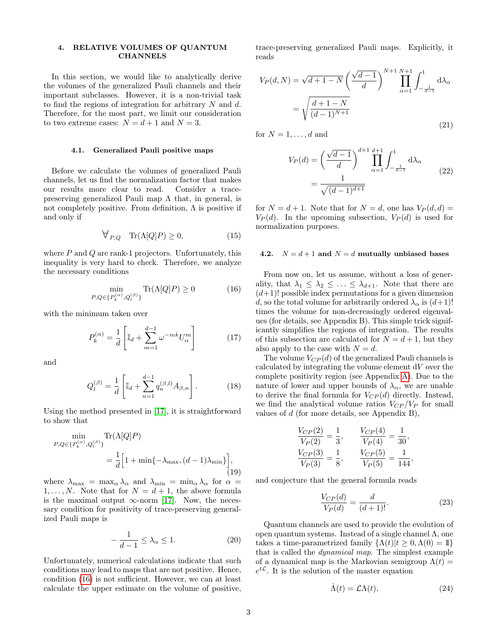# 4. RELATIVE VOLUMES OF QUANTUM **CHANNELS**

In this section, we would like to analytically derive the volumes of the generalized Pauli channels and their important subclasses. However, it is a non-trivial task to find the regions of integration for arbitrary  $N$  and  $d$ . Therefore, for the most part, we limit our consideration to two extreme cases:  $N = d + 1$  and  $N = 3$ .

### 4.1. Generalized Pauli positive maps

Before we calculate the volumes of generalized Pauli channels, let us find the normalization factor that makes our results more clear to read. Consider a tracepreserving generalized Pauli map  $\Lambda$  that, in general, is not completely positive. From definition,  $\Lambda$  is positive if and only if

$$
\forall_{P,Q} \quad \text{Tr}(\Lambda[Q]P) \ge 0,\tag{15}
$$

where  $P$  and  $Q$  are rank-1 projectors. Unfortunately, this inequality is very hard to check. Therefore, we analyze the necessary conditions

<span id="page-2-0"></span>
$$
\min_{P,Q \in \{P_k^{(\alpha)}, Q_l^{(\beta)}\}} \text{Tr}(\Lambda[Q]P) \ge 0 \tag{16}
$$

with the minimum taken over

$$
P_k^{(\alpha)} = \frac{1}{d} \left[ \mathbb{I}_d + \sum_{m=1}^{d-1} \omega^{-mk} U_{\alpha}^m \right] \tag{17}
$$

and

$$
Q_l^{(\beta)} = \frac{1}{d} \left[ \mathbb{I}_d + \sum_{n=1}^{d-1} q_n^{(\beta,l)} A_{\beta,n} \right].
$$
 (18)

Using the method presented in [\[17\]](#page-5-7), it is straightforward to show that

$$
\begin{aligned} \min_{P,Q \in \{P_k^{(\alpha)}, Q_l^{(\beta)}\}} \text{Tr}(\Lambda[Q]P) \\ &= \frac{1}{d} \Big[ 1 + \min\{-\lambda_{\text{max}}, (d-1)\lambda_{\text{min}}\} \Big], \end{aligned} \tag{19}
$$

where  $\lambda_{\text{max}} = \max_{\alpha} \lambda_{\alpha}$  and  $\lambda_{\text{min}} = \min_{\alpha} \lambda_{\alpha}$  for  $\alpha =$  $1, \ldots, N$ . Note that for  $N = d + 1$ , the above formula is the maximal output  $\infty$ -norm [\[17\]](#page-5-7). Now, the necessary condition for positivity of trace-preserving generalized Pauli maps is

$$
-\frac{1}{d-1} \le \lambda_{\alpha} \le 1. \tag{20}
$$

Unfortunately, numerical calculations indicate that such conditions may lead to maps that are not positive. Hence, condition [\(16\)](#page-2-0) is not sufficient. However, we can at least calculate the upper estimate on the volume of positive, trace-preserving generalized Pauli maps. Explicitly, it reads

$$
V_P(d, N) = \sqrt{d+1-N} \left(\frac{\sqrt{d-1}}{d}\right)^{N+1} \prod_{\alpha=1}^{N+1} \int_{-\frac{1}{d-1}}^1 d\lambda_{\alpha}
$$

$$
= \sqrt{\frac{d+1-N}{(d-1)^{N+1}}} \tag{21}
$$

for  $N = 1, \ldots, d$  and

$$
V_P(d) = \left(\frac{\sqrt{d-1}}{d}\right)^{d+1} \prod_{\alpha=1}^{d+1} \int_{-\frac{1}{d-1}}^1 d\lambda_\alpha
$$
  
= 
$$
\frac{1}{\sqrt{(d-1)^{d+1}}}
$$
 (22)

for  $N = d + 1$ . Note that for  $N = d$ , one has  $V_P(d, d) =$  $V_P(d)$ . In the upcoming subsection,  $V_P(d)$  is used for normalization purposes.

### 4.2.  $N = d + 1$  and  $N = d$  mutually unbiased bases

From now on, let us assume, without a loss of generality, that  $\lambda_1 \leq \lambda_2 \leq \ldots \leq \lambda_{d+1}$ . Note that there are  $(d+1)!$  possible index permutations for a given dimension d, so the total volume for arbitrarily ordered  $\lambda_{\alpha}$  is  $(d+1)!$ times the volume for non-decreasingly ordered eigenvalues (for details, see Appendix B). This simple trick significantly simplifies the regions of integration. The results of this subsection are calculated for  $N = d + 1$ , but they also apply to the case with  $N = d$ .

The volume  $V_{CP}(d)$  of the generalized Pauli channels is calculated by integrating the volume element  $dV$  over the complete positivity region (see Appendix [A\)](#page-5-8). Due to the nature of lower and upper bounds of  $\lambda_{\alpha}$ , we are unable to derive the final formula for  $V_{CP}(d)$  directly. Instead, we find the analytical volume ratios  $V_{CP}/V_P$  for small values of d (for more details, see Appendix B),

$$
\frac{V_{CP}(2)}{V_P(2)} = \frac{1}{3}, \qquad \frac{V_{CP}(4)}{V_P(4)} = \frac{1}{30},
$$
  

$$
\frac{V_{CP}(3)}{V_P(3)} = \frac{1}{8}, \qquad \frac{V_{CP}(5)}{V_P(5)} = \frac{1}{144},
$$

and conjecture that the general formula reads

$$
\frac{V_{CP}(d)}{V_P(d)} = \frac{d}{(d+1)!}.
$$
\n(23)

Quantum channels are used to provide the evolution of open quantum systems. Instead of a single channel  $\Lambda$ , one takes a time-parametrized family  $\{\Lambda(t)|t\geq 0, \Lambda(0)=1\}$ that is called the dynamical map. The simplest example of a dynamical map is the Markovian semigroup  $\Lambda(t) =$  $e^{t\mathcal{L}}$ . It is the solution of the master equation

$$
\dot{\Lambda}(t) = \mathcal{L}\Lambda(t),\tag{24}
$$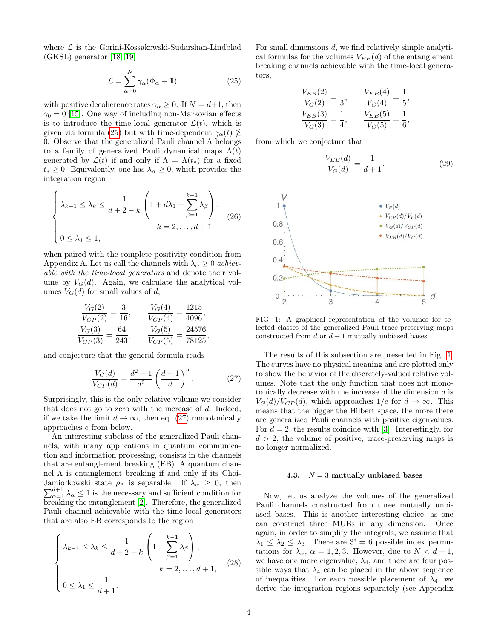where  $\mathcal L$  is the Gorini-Kossakowski-Sudarshan-Lindblad (GKSL) generator [\[18,](#page-5-9) [19\]](#page-5-10)

<span id="page-3-0"></span>
$$
\mathcal{L} = \sum_{\alpha=0}^{N} \gamma_{\alpha} (\Phi_{\alpha} - \mathbb{1}) \tag{25}
$$

with positive decoherence rates  $\gamma_{\alpha} \geq 0$ . If  $N = d+1$ , then  $\gamma_0 = 0$  [\[15\]](#page-5-5). One way of including non-Markovian effects is to introduce the time-local generator  $\mathcal{L}(t)$ , which is given via formula [\(25\)](#page-3-0) but with time-dependent  $\gamma_{\alpha}(t) \ngeq$ 0. Observe that the generalized Pauli channel Λ belongs to a family of generalized Pauli dynamical maps  $\Lambda(t)$ generated by  $\mathcal{L}(t)$  if and only if  $\Lambda = \Lambda(t_*)$  for a fixed  $t_* \geq 0$ . Equivalently, one has  $\lambda_\alpha \geq 0$ , which provides the integration region

$$
\begin{cases} \lambda_{k-1} \leq \lambda_k \leq \frac{1}{d+2-k} \left( 1 + d\lambda_1 - \sum_{\beta=1}^{k-1} \lambda_\beta \right), \\ k = 2, \dots, d+1, \end{cases}
$$
 (26)

when paired with the complete positivity condition from Appendix A. Let us call the channels with  $\lambda_{\alpha} \geq 0$  achievable with the time-local generators and denote their volume by  $V_G(d)$ . Again, we calculate the analytical volumes  $V_G(d)$  for small values of d,

$$
\frac{V_G(2)}{V_{CP}(2)} = \frac{3}{16}, \qquad \frac{V_G(4)}{V_{CP}(4)} = \frac{1215}{4096},
$$
  
\n
$$
\frac{V_G(3)}{V_{CP}(3)} = \frac{64}{243}, \qquad \frac{V_G(5)}{V_{CP}(5)} = \frac{24576}{78125},
$$

and conjecture that the general formula reads

<span id="page-3-1"></span>
$$
\frac{V_G(d)}{V_{CP}(d)} = \frac{d^2 - 1}{d^2} \left(\frac{d - 1}{d}\right)^d.
$$
 (27)

Surprisingly, this is the only relative volume we consider that does not go to zero with the increase of d. Indeed, if we take the limit  $d \to \infty$ , then eq. [\(27\)](#page-3-1) monotonically approaches e from below.

An interesting subclass of the generalized Pauli channels, with many applications in quantum communication and information processing, consists in the channels that are entanglement breaking (EB). A quantum channel Λ is entanglement breaking if and only if its Choi-Jamiołkowski state  $\rho_{\Lambda}$  is separable. If  $\lambda_{\alpha} \geq 0$ , then  $\sum_{\alpha=1}^{d+1} \lambda_{\alpha} \leq 1$  is the necessary and sufficient condition for breaking the entanglement [\[2\]](#page-4-1). Therefore, the generalized Pauli channel achievable with the time-local generators that are also EB corresponds to the region

$$
\begin{cases} \lambda_{k-1} \leq \lambda_k \leq \frac{1}{d+2-k} \left( 1 - \sum_{\beta=1}^{k-1} \lambda_{\beta} \right), \\ k = 2, \dots, d+1, \end{cases}
$$
 (28)  
  $0 \leq \lambda_1 \leq \frac{1}{d+1}.$ 

For small dimensions d, we find relatively simple analytical formulas for the volumes  $V_{EB}(d)$  of the entanglement breaking channels achievable with the time-local generators,

$$
\frac{V_{EB}(2)}{V_G(2)} = \frac{1}{3}, \qquad \frac{V_{EB}(4)}{V_G(4)} = \frac{1}{5},
$$
  

$$
\frac{V_{EB}(3)}{V_G(3)} = \frac{1}{4}, \qquad \frac{V_{EB}(5)}{V_G(5)} = \frac{1}{6},
$$

from which we conjecture that

$$
\frac{V_{EB}(d)}{V_G(d)} = \frac{1}{d+1}.
$$
\n(29)



<span id="page-3-2"></span>FIG. 1: A graphical representation of the volumes for selected classes of the generalized Pauli trace-preserving maps constructed from  $d$  or  $d+1$  mutually unbiased bases.

The results of this subsection are presented in Fig. [1.](#page-3-2) The curves have no physical meaning and are plotted only to show the behavior of the discretely-valued relative volumes. Note that the only function that does not monotonically decrease with the increase of the dimension  $d$  is  $V_G(d)/V_{CP}(d)$ , which approaches  $1/e$  for  $d \rightarrow \infty$ . This means that the bigger the Hilbert space, the more there are generalized Pauli channels with positive eigenvalues. For  $d = 2$ , the results coincide with [\[3\]](#page-4-2). Interestingly, for  $d > 2$ , the volume of positive, trace-preserving maps is no longer normalized.

# 4.3.  $N = 3$  mutually unbiased bases

Now, let us analyze the volumes of the generalized Pauli channels constructed from three mutually unbiased bases. This is another interesting choice, as one can construct three MUBs in any dimension. Once again, in order to simplify the integrals, we assume that  $\lambda_1 \leq \lambda_2 \leq \lambda_3$ . There are  $3! = 6$  possible index permutations for  $\lambda_{\alpha}$ ,  $\alpha = 1, 2, 3$ . However, due to  $N < d+1$ , we have one more eigenvalue,  $\lambda_4$ , and there are four possible ways that  $\lambda_4$  can be placed in the above sequence of inequalities. For each possible placement of  $\lambda_4$ , we derive the integration regions separately (see Appendix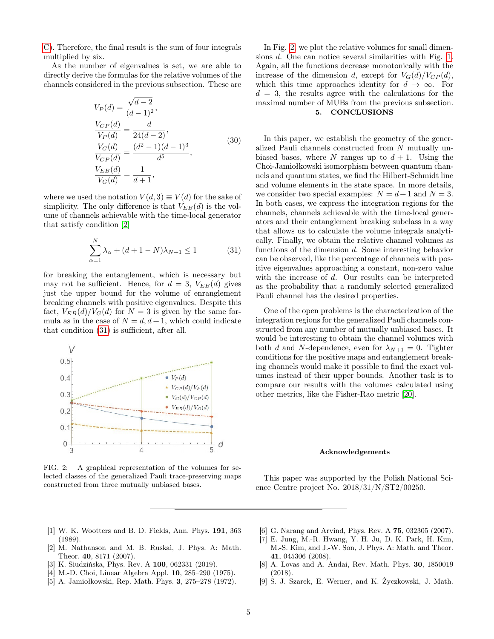[C\)](#page-6-0). Therefore, the final result is the sum of four integrals multiplied by six.

As the number of eigenvalues is set, we are able to directly derive the formulas for the relative volumes of the channels considered in the previous subsection. These are

$$
V_P(d) = \frac{\sqrt{d-2}}{(d-1)^2},
$$
  
\n
$$
\frac{V_{CP}(d)}{V_P(d)} = \frac{d}{24(d-2)},
$$
  
\n
$$
\frac{V_G(d)}{V_{CP}(d)} = \frac{(d^2-1)(d-1)^3}{d^5},
$$
  
\n
$$
\frac{V_{EB}(d)}{V_G(d)} = \frac{1}{d+1},
$$
\n(30)

where we used the notation  $V(d, 3) \equiv V(d)$  for the sake of simplicity. The only difference is that  $V_{EB}(d)$  is the volume of channels achievable with the time-local generator that satisfy condition [\[2\]](#page-4-1)

<span id="page-4-9"></span>
$$
\sum_{\alpha=1}^{N} \lambda_{\alpha} + (d+1-N)\lambda_{N+1} \le 1
$$
 (31)

for breaking the entanglement, which is necessary but may not be sufficient. Hence, for  $d = 3$ ,  $V_{EB}(d)$  gives just the upper bound for the volume of enranglement breaking channels with positive eigenvalues. Despite this fact,  $V_{EB}(d)/V_G(d)$  for  $N = 3$  is given by the same formula as in the case of  $N = d, d + 1$ , which could indicate that condition [\(31\)](#page-4-9) is sufficient, after all.



<span id="page-4-10"></span>FIG. 2: A graphical representation of the volumes for selected classes of the generalized Pauli trace-preserving maps constructed from three mutually unbiased bases.

In Fig. [2,](#page-4-10) we plot the relative volumes for small dimensions d. One can notice several similarities with Fig. [1.](#page-3-2) Again, all the functions decrease monotonically with the increase of the dimension d, except for  $V_G(d)/V_{CP}(d)$ , which this time approaches identity for  $d \to \infty$ . For  $d = 3$ , the results agree with the calculations for the maximal number of MUBs from the previous subsection.

## 5. CONCLUSIONS

In this paper, we establish the geometry of the generalized Pauli channels constructed from N mutually unbiased bases, where N ranges up to  $d+1$ . Using the Choi-Jamiołkowski isomorphism between quantum channels and quantum states, we find the Hilbert-Schmidt line and volume elements in the state space. In more details, we consider two special examples:  $N = d+1$  and  $N = 3$ . In both cases, we express the integration regions for the channels, channels achievable with the time-local generators and their entanglement breaking subclass in a way that allows us to calculate the volume integrals analytically. Finally, we obtain the relative channel volumes as functions of the dimension d. Some interesting behavior can be observed, like the percentage of channels with positive eigenvalues approaching a constant, non-zero value with the increase of d. Our results can be interpreted as the probability that a randomly selected generalized Pauli channel has the desired properties.

One of the open problems is the characterization of the integration regions for the generalized Pauli channels constructed from any number of mutually unbiased bases. It would be interesting to obtain the channel volumes with both d and N-dependence, even for  $\lambda_{N+1} = 0$ . Tighter conditions for the positive maps and entanglement breaking channels would make it possible to find the exact volumes instead of their upper bounds. Another task is to compare our results with the volumes calculated using other metrics, like the Fisher-Rao metric [\[20\]](#page-5-11).

### Acknowledgements

This paper was supported by the Polish National Science Centre project No. 2018/31/N/ST2/00250.

- <span id="page-4-0"></span>[1] W. K. Wootters and B. D. Fields, Ann. Phys. 191, 363 (1989).
- <span id="page-4-1"></span>[2] M. Nathanson and M. B. Ruskai, J. Phys. A: Math. Theor. 40, 8171 (2007).
- <span id="page-4-2"></span>[3] K. Siudzińska, Phys. Rev. A 100, 062331 (2019).
- <span id="page-4-3"></span>[4] M.-D. Choi, Linear Algebra Appl. 10, 285–290 (1975).
- <span id="page-4-4"></span>[5] A. Jamiołkowski, Rep. Math. Phys. 3, 275–278 (1972).
- <span id="page-4-5"></span>[6] G. Narang and Arvind, Phys. Rev. A 75, 032305 (2007).
- <span id="page-4-6"></span>[7] E. Jung, M.-R. Hwang, Y. H. Ju, D. K. Park, H. Kim, M.-S. Kim, and J.-W. Son, J. Phys. A: Math. and Theor. 41, 045306 (2008).
- <span id="page-4-7"></span>[8] A. Lovas and A. Andai, Rev. Math. Phys. 30, 1850019 (2018).
- <span id="page-4-8"></span>[9] S. J. Szarek, E. Werner, and K. Życzkowski, J. Math.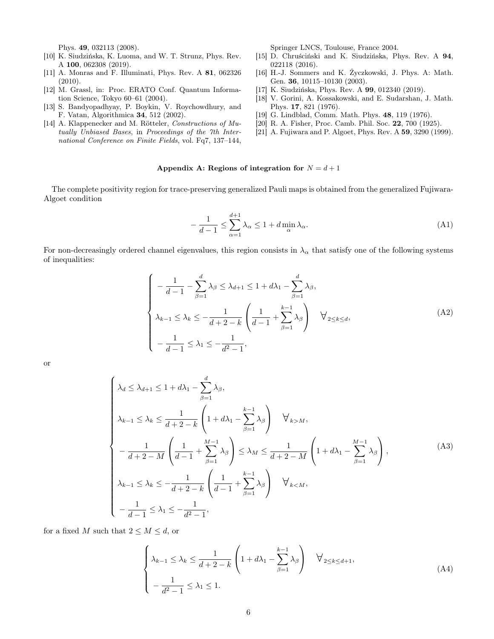Phys. 49, 032113 (2008).

- <span id="page-5-0"></span>[10] K. Siudzińska, K. Luoma, and W. T. Strunz, Phys. Rev. A 100, 062308 (2019).
- <span id="page-5-1"></span>[11] A. Monras and F. Illuminati, Phys. Rev. A 81, 062326 (2010).
- <span id="page-5-2"></span>[12] M. Grassl, in: Proc. ERATO Conf. Quantum Information Science, Tokyo 60–61 (2004).
- <span id="page-5-3"></span>[13] S. Bandyopadhyay, P. Boykin, V. Roychowdhury, and F. Vatan, Algorithmica 34, 512 (2002).
- <span id="page-5-4"></span>[14] A. Klappenecker and M. Rötteler, Constructions of Mutually Unbiased Bases, in Proceedings of the 7th International Conference on Finite Fields, vol. Fq7, 137–144,

Springer LNCS, Toulouse, France 2004.

- <span id="page-5-5"></span>[15] D. Chruściński and K. Siudzińska, Phys. Rev. A 94, 022118 (2016).
- <span id="page-5-6"></span>[16] H.-J. Sommers and K. Życzkowski, J. Phys. A: Math. Gen. 36, 10115–10130 (2003).
- <span id="page-5-7"></span>[17] K. Siudzińska, Phys. Rev. A 99, 012340 (2019).
- <span id="page-5-9"></span>[18] V. Gorini, A. Kossakowski, and E. Sudarshan, J. Math. Phys. 17, 821 (1976).
- <span id="page-5-10"></span>[19] G. Lindblad, Comm. Math. Phys. 48, 119 (1976).
- <span id="page-5-11"></span>[20] R. A. Fisher, Proc. Camb. Phil. Soc. 22, 700 (1925).
- <span id="page-5-12"></span>[21] A. Fujiwara and P. Algoet, Phys. Rev. A 59, 3290 (1999).

# <span id="page-5-8"></span>Appendix A: Regions of integration for  $N = d + 1$

The complete positivity region for trace-preserving generalized Pauli maps is obtained from the generalized Fujiwara-Algoet condition

−

$$
-\frac{1}{d-1} \le \sum_{\alpha=1}^{d+1} \lambda_{\alpha} \le 1 + d \min_{\alpha} \lambda_{\alpha}.
$$
 (A1)

For non-decreasingly ordered channel eigenvalues, this region consists in  $\lambda_{\alpha}$  that satisfy one of the following systems of inequalities:

$$
\begin{cases}\n-\frac{1}{d-1} - \sum_{\beta=1}^{d} \lambda_{\beta} \le \lambda_{d+1} \le 1 + d\lambda_1 - \sum_{\beta=1}^{d} \lambda_{\beta}, \\
\lambda_{k-1} \le \lambda_k \le -\frac{1}{d+2-k} \left(\frac{1}{d-1} + \sum_{\beta=1}^{k-1} \lambda_{\beta}\right) \quad \forall_{2 \le k \le d}, \\
-\frac{1}{d-1} \le \lambda_1 \le -\frac{1}{d^2-1},\n\end{cases} (A2)
$$

or

$$
\begin{cases}\n\lambda_d \leq \lambda_{d+1} \leq 1 + d\lambda_1 - \sum_{\beta=1}^d \lambda_\beta, \\
\lambda_{k-1} \leq \lambda_k \leq \frac{1}{d+2-k} \left(1 + d\lambda_1 - \sum_{\beta=1}^{k-1} \lambda_\beta\right) & \forall_{k>M}, \\
-\frac{1}{d+2-M} \left(\frac{1}{d-1} + \sum_{\beta=1}^{M-1} \lambda_\beta\right) \leq \lambda_M \leq \frac{1}{d+2-M} \left(1 + d\lambda_1 - \sum_{\beta=1}^{M-1} \lambda_\beta\right), \\
\lambda_{k-1} \leq \lambda_k \leq -\frac{1}{d+2-k} \left(\frac{1}{d-1} + \sum_{\beta=1}^{k-1} \lambda_\beta\right) & \forall_{k\n(A3)
$$

for a fixed M such that  $2 \leq M \leq d$ , or

$$
\begin{cases} \lambda_{k-1} \leq \lambda_k \leq \frac{1}{d+2-k} \left( 1 + d\lambda_1 - \sum_{\beta=1}^{k-1} \lambda_\beta \right) & \forall_{2 \leq k \leq d+1}, \\ -\frac{1}{d^2-1} \leq \lambda_1 \leq 1. \end{cases}
$$
(A4)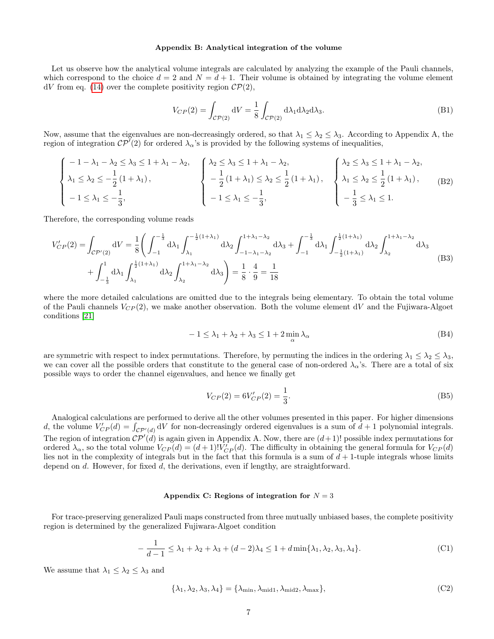### Appendix B: Analytical integration of the volume

Let us observe how the analytical volume integrals are calculated by analyzing the example of the Pauli channels, which correspond to the choice  $d = 2$  and  $N = d + 1$ . Their volume is obtained by integrating the volume element  $dV$  from eq. [\(14\)](#page-1-1) over the complete positivity region  $\mathcal{CP}(2)$ ,

$$
V_{CP}(2) = \int_{\mathcal{CP}(2)} \mathrm{d}V = \frac{1}{8} \int_{\mathcal{CP}(2)} \mathrm{d}\lambda_1 \mathrm{d}\lambda_2 \mathrm{d}\lambda_3. \tag{B1}
$$

Now, assume that the eigenvalues are non-decreasingly ordered, so that  $\lambda_1 \leq \lambda_2 \leq \lambda_3$ . According to Appendix A, the region of integration  $\mathcal{CP}^{\mathcal{V}}(2)$  for ordered  $\lambda_{\alpha}$ 's is provided by the following systems of inequalities,

$$
\begin{cases}\n-1 - \lambda_1 - \lambda_2 \le \lambda_3 \le 1 + \lambda_1 - \lambda_2, \\
\lambda_1 \le \lambda_2 \le -\frac{1}{2}(1 + \lambda_1), \\
-1 \le \lambda_1 \le -\frac{1}{3},\n\end{cases}\n\begin{cases}\n\lambda_2 \le \lambda_3 \le 1 + \lambda_1 - \lambda_2, \\
-\frac{1}{2}(1 + \lambda_1) \le \lambda_2 \le \frac{1}{2}(1 + \lambda_1), \\
-1 \le \lambda_1 \le -\frac{1}{3},\n\end{cases}\n\begin{cases}\n\lambda_2 \le \lambda_3 \le 1 + \lambda_1 - \lambda_2, \\
\lambda_1 \le \lambda_2 \le \frac{1}{2}(1 + \lambda_1), \\
-\frac{1}{3} \le \lambda_1 \le 1.\n\end{cases}
$$
\n(B2)

Therefore, the corresponding volume reads

$$
V'_{CP}(2) = \int_{CP'(2)} dV = \frac{1}{8} \left( \int_{-1}^{-\frac{1}{3}} d\lambda_1 \int_{\lambda_1}^{-\frac{1}{2}(1+\lambda_1)} d\lambda_2 \int_{-1-\lambda_1-\lambda_2}^{1+\lambda_1-\lambda_2} d\lambda_3 + \int_{-1}^{-\frac{1}{3}} d\lambda_1 \int_{-\frac{1}{2}(1+\lambda_1)}^{\frac{1}{2}(1+\lambda_1)} d\lambda_2 \int_{\lambda_2}^{1+\lambda_1-\lambda_2} d\lambda_3 + \int_{-\frac{1}{3}}^{-1} d\lambda_1 \int_{-\frac{1}{3}}^{\frac{1}{2}(1+\lambda_1)} d\lambda_2 \int_{\lambda_1}^{1+\lambda_1-\lambda_2} d\lambda_3 \right)
$$
(B3)

where the more detailed calculations are omitted due to the integrals being elementary. To obtain the total volume of the Pauli channels  $V_{CP}(2)$ , we make another observation. Both the volume element dV and the Fujiwara-Algoet conditions [\[21\]](#page-5-12)

$$
-1 \le \lambda_1 + \lambda_2 + \lambda_3 \le 1 + 2 \min_{\alpha} \lambda_{\alpha} \tag{B4}
$$

are symmetric with respect to index permutations. Therefore, by permuting the indices in the ordering  $\lambda_1 \leq \lambda_2 \leq \lambda_3$ , we can cover all the possible orders that constitute to the general case of non-ordered  $\lambda_{\alpha}$ 's. There are a total of six possible ways to order the channel eigenvalues, and hence we finally get

$$
V_{CP}(2) = 6V'_{CP}(2) = \frac{1}{3}.
$$
\n(B5)

Analogical calculations are performed to derive all the other volumes presented in this paper. For higher dimensions d, the volume  $V'_{CP}(d) = \int_{\mathcal{CP}'(d)} dV$  for non-decreasingly ordered eigenvalues is a sum of  $d+1$  polynomial integrals. The region of integration  $\mathcal{CP}'(d)$  is again given in Appendix A. Now, there are  $(d+1)!$  possible index permutations for ordered  $\lambda_{\alpha}$ , so the total volume  $V_{CP}(d) = (d+1)! V_{CP}'(d)$ . The difficulty in obtaining the general formula for  $V_{CP}(d)$ lies not in the complexity of integrals but in the fact that this formula is a sum of  $d+1$ -tuple integrals whose limits depend on d. However, for fixed d, the derivations, even if lengthy, are straightforward.

# <span id="page-6-0"></span>Appendix C: Regions of integration for  $N = 3$

For trace-preserving generalized Pauli maps constructed from three mutually unbiased bases, the complete positivity region is determined by the generalized Fujiwara-Algoet condition

<span id="page-6-1"></span>
$$
-\frac{1}{d-1} \le \lambda_1 + \lambda_2 + \lambda_3 + (d-2)\lambda_4 \le 1 + d\min\{\lambda_1, \lambda_2, \lambda_3, \lambda_4\}.
$$
 (C1)

We assume that  $\lambda_1 \leq \lambda_2 \leq \lambda_3$  and

$$
\{\lambda_1, \lambda_2, \lambda_3, \lambda_4\} = \{\lambda_{\min}, \lambda_{\text{mid1}}, \lambda_{\text{mid2}}, \lambda_{\max}\},\tag{C2}
$$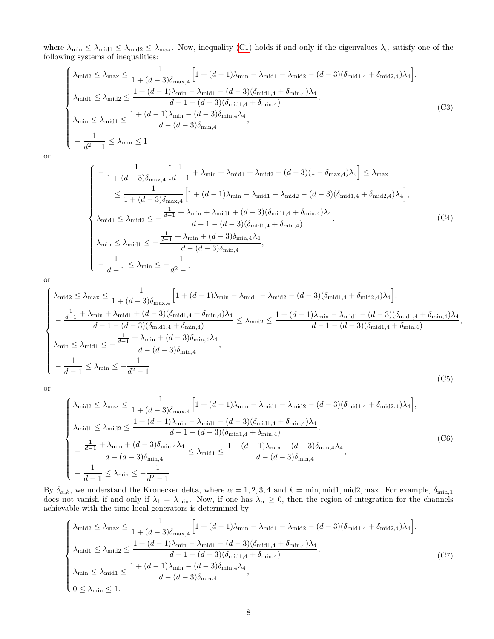where  $\lambda_{\min} \leq \lambda_{\text{mid1}} \leq \lambda_{\max}$ . Now, inequality [\(C1\)](#page-6-1) holds if and only if the eigenvalues  $\lambda_{\alpha}$  satisfy one of the following systems of inequalities:

$$
\begin{cases}\n\lambda_{\text{mid2}} \leq \lambda_{\text{max}} \leq \frac{1}{1 + (d-3)\delta_{\text{max},4}} \Big[ 1 + (d-1)\lambda_{\text{min}} - \lambda_{\text{mid1}} - \lambda_{\text{mid2}} - (d-3)(\delta_{\text{mid1},4} + \delta_{\text{mid2},4})\lambda_4 \Big], \\
\lambda_{\text{mid1}} \leq \lambda_{\text{mid2}} \leq \frac{1 + (d-1)\lambda_{\text{min}} - \lambda_{\text{mid1}} - (d-3)(\delta_{\text{mid1},4} + \delta_{\text{min},4})\lambda_4}{d-1 - (d-3)(\delta_{\text{mid1},4} + \delta_{\text{min},4})}, \\
\lambda_{\text{min}} \leq \lambda_{\text{mid1}} \leq \frac{1 + (d-1)\lambda_{\text{min}} - (d-3)\delta_{\text{min},4}\lambda_4}{d - (d-3)\delta_{\text{min},4}},\n\end{cases} \tag{C3}
$$

or

$$
\begin{cases}\n-\frac{1}{1 + (d - 3)\delta_{\max,4}} \Big[ \frac{1}{d - 1} + \lambda_{\min} + \lambda_{\text{mid1}} + \lambda_{\text{mid2}} + (d - 3)(1 - \delta_{\max,4})\lambda_4 \Big] \le \lambda_{\max} \\
\le \frac{1}{1 + (d - 3)\delta_{\max,4}} \Big[ 1 + (d - 1)\lambda_{\min} - \lambda_{\text{mid1}} - \lambda_{\text{mid2}} - (d - 3)(\delta_{\text{mid1},4} + \delta_{\text{mid2},4})\lambda_4 \Big], \\
\lambda_{\text{mid1}} \le \lambda_{\text{mid2}} \le -\frac{\frac{1}{d - 1} + \lambda_{\min} + \lambda_{\text{mid1}} + (d - 3)(\delta_{\text{mid1},4} + \delta_{\text{min},4})\lambda_4}{d - 1 - (d - 3)(\delta_{\text{mid1},4} + \delta_{\text{min},4})},\n\end{cases} (C4)
$$
\n
$$
\lambda_{\min} \le \lambda_{\text{mid1}} \le -\frac{\frac{1}{d - 1} + \lambda_{\min} + (d - 3)\delta_{\min,4}\lambda_4}{d - (d - 3)\delta_{\min,4}},
$$

,

or

$$
\begin{cases}\n\lambda_{\text{mid2}} \leq \lambda_{\text{max}} \leq \frac{1}{1 + (d - 3)\delta_{\text{max},4}} \Big[ 1 + (d - 1)\lambda_{\text{min}} - \lambda_{\text{mid1}} - \lambda_{\text{mid2}} - (d - 3)(\delta_{\text{mid1,4}} + \delta_{\text{mid2,4}})\lambda_4 \Big], \\
-\frac{\frac{1}{d - 1} + \lambda_{\text{min}} + \lambda_{\text{mid1}} + (d - 3)(\delta_{\text{mid1,4}} + \delta_{\text{min,4}})\lambda_4}{d - 1 - (d - 3)(\delta_{\text{mid1,4}} + \delta_{\text{min,4}})} \leq \lambda_{\text{mid2}} \leq \frac{1 + (d - 1)\lambda_{\text{min}} - \lambda_{\text{mid1}} - (d - 3)(\delta_{\text{mid1,4}} + \delta_{\text{min,4}})\lambda_4}{d - 1 - (d - 3)(\delta_{\text{mid1,4}} + \delta_{\text{min,4}})} \\
\lambda_{\text{min}} \leq \lambda_{\text{mid1}} \leq -\frac{\frac{1}{d - 1} + \lambda_{\text{min}} + (d - 3)\delta_{\text{min,4}}}{d - (d - 3)\delta_{\text{min,4}}},\n\end{cases} (C5)
$$

or

$$
\begin{cases}\n\lambda_{\text{mid2}} \leq \lambda_{\text{max}} \leq \frac{1}{1 + (d - 3)\delta_{\text{max},4}} \Big[ 1 + (d - 1)\lambda_{\text{min}} - \lambda_{\text{mid1}} - \lambda_{\text{mid2}} - (d - 3)(\delta_{\text{mid1},4} + \delta_{\text{mid2},4})\lambda_4 \Big], \\
\lambda_{\text{mid1}} \leq \lambda_{\text{mid2}} \leq \frac{1 + (d - 1)\lambda_{\text{min}} - \lambda_{\text{mid1}} - (d - 3)(\delta_{\text{mid1},4} + \delta_{\text{min},4})\lambda_4}{d - 1 - (d - 3)(\delta_{\text{mid1},4} + \delta_{\text{min},4})}, \\
-\frac{\frac{1}{d - 1} + \lambda_{\text{min}} + (d - 3)\delta_{\text{min},4}\lambda_4}{d - (d - 3)\delta_{\text{min},4}} \leq \lambda_{\text{mid1}} \leq \frac{1 + (d - 1)\lambda_{\text{min}} - (d - 3)\delta_{\text{min},4}\lambda_4}{d - (d - 3)\delta_{\text{min},4}},\n\end{cases} (C6)
$$

By  $\delta_{\alpha,k}$ , we understand the Kronecker delta, where  $\alpha = 1, 2, 3, 4$  and  $k = \min, \min1, \min2, \max$ . For example,  $\delta_{\min,1}$ does not vanish if and only if  $\lambda_1 = \lambda_{\min}$ . Now, if one has  $\lambda_\alpha \geq 0$ , then the region of integration for the channels achievable with the time-local generators is determined by

$$
\begin{cases} \lambda_{\text{mid2}} \leq \lambda_{\text{max}} \leq \frac{1}{1 + (d-3)\delta_{\text{max},4}} \Big[ 1 + (d-1)\lambda_{\text{min}} - \lambda_{\text{mid1}} - \lambda_{\text{mid2}} - (d-3)(\delta_{\text{mid1},4} + \delta_{\text{mid2},4})\lambda_4 \Big], \\ \lambda_{\text{mid1}} \leq \lambda_{\text{mid2}} \leq \frac{1 + (d-1)\lambda_{\text{min}} - \lambda_{\text{mid1}} - (d-3)(\delta_{\text{mid1},4} + \delta_{\text{min},4})\lambda_4}{d-1 - (d-3)(\delta_{\text{mid1},4} + \delta_{\text{min},4})}, \\ \lambda_{\text{min}} \leq \lambda_{\text{mid1}} \leq \frac{1 + (d-1)\lambda_{\text{min}} - (d-3)\delta_{\text{min},4}\lambda_4}{d - (d-3)\delta_{\text{min},4}}, \end{cases} \tag{C7}
$$